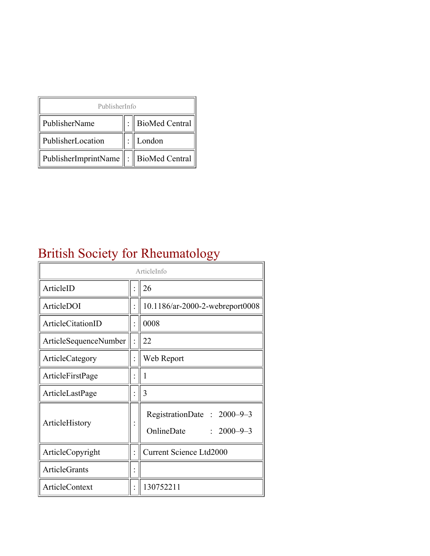| PublisherInfo                               |  |                    |  |  |
|---------------------------------------------|--|--------------------|--|--|
| PublisherName                               |  | :   BioMed Central |  |  |
| PublisherLocation                           |  | London             |  |  |
| PublisherImprintName    :    BioMed Central |  |                    |  |  |

## British Society for Rheumatology

| ArticleInfo           |  |                                                                                   |
|-----------------------|--|-----------------------------------------------------------------------------------|
| ArticleID             |  | 26                                                                                |
| ArticleDOI            |  | 10.1186/ar-2000-2-webreport0008                                                   |
| ArticleCitationID     |  | 0008                                                                              |
| ArticleSequenceNumber |  | 22                                                                                |
| ArticleCategory       |  | Web Report                                                                        |
| ArticleFirstPage      |  | 1                                                                                 |
| ArticleLastPage       |  | 3                                                                                 |
| ArticleHistory        |  | RegistrationDate: 2000–9–3<br>OnlineDate<br>$2000 - 9 - 3$<br>$\gamma_{\rm{eff}}$ |
| ArticleCopyright      |  | <b>Current Science Ltd2000</b>                                                    |
| <b>ArticleGrants</b>  |  |                                                                                   |
| ArticleContext        |  | 130752211                                                                         |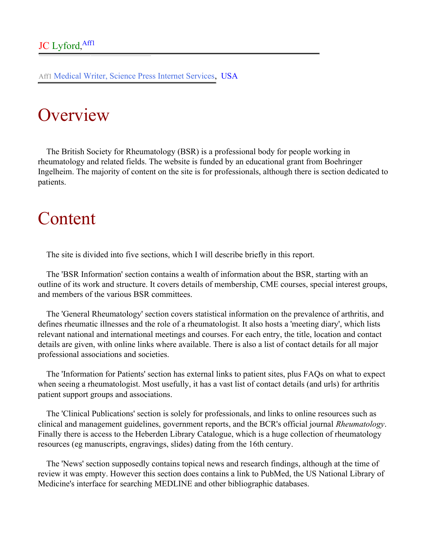Aff1 Medical Writer, Science Press Internet Services, USA

# **Overview**

The British Society for Rheumatology (BSR) is a professional body for people working in rheumatology and related fields. The website is funded by an educational grant from Boehringer Ingelheim. The majority of content on the site is for professionals, although there is section dedicated to patients.

#### Content

The site is divided into five sections, which I will describe briefly in this report.

The 'BSR Information' section contains a wealth of information about the BSR, starting with an outline of its work and structure. It covers details of membership, CME courses, special interest groups, and members of the various BSR committees.

The 'General Rheumatology' section covers statistical information on the prevalence of arthritis, and defines rheumatic illnesses and the role of a rheumatologist. It also hosts a 'meeting diary', which lists relevant national and international meetings and courses. For each entry, the title, location and contact details are given, with online links where available. There is also a list of contact details for all major professional associations and societies.

The 'Information for Patients' section has external links to patient sites, plus FAQs on what to expect when seeing a rheumatologist. Most usefully, it has a vast list of contact details (and urls) for arthritis patient support groups and associations.

The 'Clinical Publications' section is solely for professionals, and links to online resources such as clinical and management guidelines, government reports, and the BCR's official journal *Rheumatology*. Finally there is access to the Heberden Library Catalogue, which is a huge collection of rheumatology resources (eg manuscripts, engravings, slides) dating from the 16th century.

The 'News' section supposedly contains topical news and research findings, although at the time of review it was empty. However this section does contains a link to PubMed, the US National Library of Medicine's interface for searching MEDLINE and other bibliographic databases.